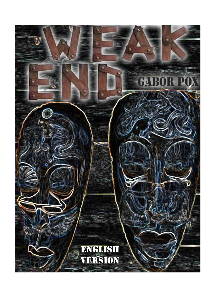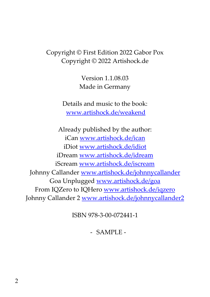#### Copyright © First Edition 2022 Gabor Pox Copyright © 2022 Artishock.de

Version 1.1.08.03 Made in Germany

Details and music to the book: www.artishock.de/weakend

Already published by the author: iCan www.artishock.de/ican iDiot www.artishock.de/idiot iDream www.artishock.de/idream iScream www.artishock.de/iscream Johnny Callander www.artishock.de/johnnycallander Goa Unplugged www.artishock.de/goa From IQZero to IQHero www.artishock.de/iqzero Johnny Callander 2 www.artishock.de/johnnycallander2

ISBN 978-3-00-072441-1

- SAMPLE -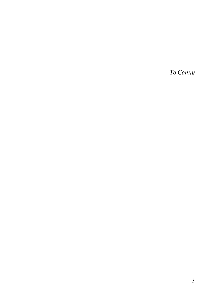To Conny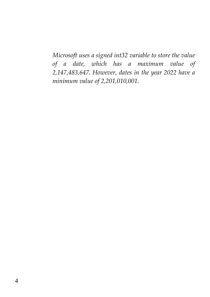Microsoft uses a signed int32 variable to store the value of a date, which has a maximum value of 2,147,483,647. However, dates in the year 2022 have a minimum value of 2,201,010,001.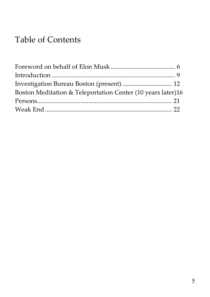# Table of Contents

| Boston Meditation & Teleportation Center (10 years later)16 |  |
|-------------------------------------------------------------|--|
|                                                             |  |
|                                                             |  |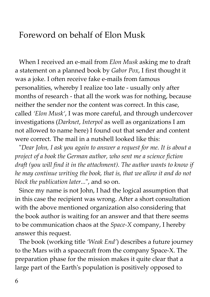## Foreword on behalf of Elon Musk

When I received an e-mail from *Elon Musk* asking me to draft a statement on a planned book by Gabor Pox, I first thought it was a joke. I often receive fake e-mails from famous personalities, whereby I realize too late - usually only after months of research - that all the work was for nothing, because neither the sender nor the content was correct. In this case, called 'Elon Musk', I was more careful, and through undercover investigations (Darknet, Interpol as well as organizations I am not allowed to name here) I found out that sender and content were correct. The mail in a nutshell looked like this:

"Dear John, I ask you again to answer a request for me. It is about a project of a book the German author, who sent me a science fiction draft (you will find it in the attachment). The author wants to know if he may continue writing the book, that is, that we allow it and do not block the publication later...", and so on.

Since my name is not John, I had the logical assumption that in this case the recipient was wrong. After a short consultation with the above mentioned organization also considering that the book author is waiting for an answer and that there seems to be communication chaos at the Space-X company, I hereby answer this request.

The book (working title 'Weak End') describes a future journey to the Mars with a spacecraft from the company Space-X. The preparation phase for the mission makes it quite clear that a large part of the Earth's population is positively opposed to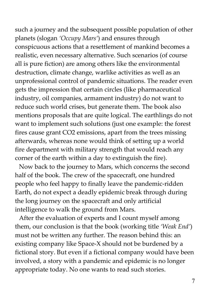such a journey and the subsequent possible population of other planets (slogan 'Occupy Mars') and ensures through conspicuous actions that a resettlement of mankind becomes a realistic, even necessary alternative. Such scenarios (of course all is pure fiction) are among others like the environmental destruction, climate change, warlike activities as well as an unprofessional control of pandemic situations. The reader even gets the impression that certain circles (like pharmaceutical industry, oil companies, armament industry) do not want to reduce such world crises, but generate them. The book also mentions proposals that are quite logical. The earthlings do not want to implement such solutions (just one example: the forest fires cause grant CO2 emissions, apart from the trees missing afterwards, whereas none would think of setting up a world fire department with military strength that would reach any corner of the earth within a day to extinguish the fire).

Now back to the journey to Mars, which concerns the second half of the book. The crew of the spacecraft, one hundred people who feel happy to finally leave the pandemic-ridden Earth, do not expect a deadly epidemic break through during the long journey on the spacecraft and only artificial intelligence to walk the ground from Mars.

After the evaluation of experts and I count myself among them, our conclusion is that the book (working title 'Weak End') must not be written any further. The reason behind this: an existing company like Space-X should not be burdened by a fictional story. But even if a fictional company would have been involved, a story with a pandemic and epidemic is no longer appropriate today. No one wants to read such stories.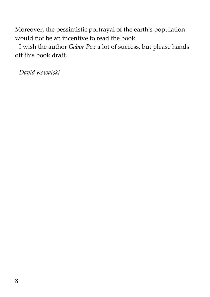Moreover, the pessimistic portrayal of the earth's population would not be an incentive to read the book.

I wish the author Gabor Pox a lot of success, but please hands off this book draft.

David Kowalski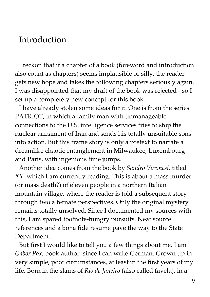#### Introduction

I reckon that if a chapter of a book (foreword and introduction also count as chapters) seems implausible or silly, the reader gets new hope and takes the following chapters seriously again. I was disappointed that my draft of the book was rejected - so I set up a completely new concept for this book.

I have already stolen some ideas for it. One is from the series PATRIOT, in which a family man with unmanageable connections to the U.S. intelligence services tries to stop the nuclear armament of Iran and sends his totally unsuitable sons into action. But this frame story is only a pretext to narrate a dreamlike chaotic entanglement in Milwaukee, Luxembourg and Paris, with ingenious time jumps.

Another idea comes from the book by Sandro Veronesi, titled XY, which I am currently reading. This is about a mass murder (or mass death?) of eleven people in a northern Italian mountain village, where the reader is told a subsequent story through two alternate perspectives. Only the original mystery remains totally unsolved. Since I documented my sources with this, I am spared footnote-hungry pursuits. Neat source references and a bona fide resume pave the way to the State Department...

But first I would like to tell you a few things about me. I am Gabor Pox, book author, since I can write German. Grown up in very simple, poor circumstances, at least in the first years of my life. Born in the slams of Rio de Janeiro (also called favela), in a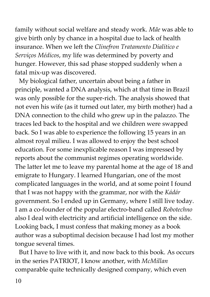family without social welfare and steady work. Mãe was able to give birth only by chance in a hospital due to lack of health insurance. When we left the Clinefron Tratamento Dialítico e Serviços Médicos, my life was determined by poverty and hunger. However, this sad phase stopped suddenly when a fatal mix-up was discovered.

My biological father, uncertain about being a father in principle, wanted a DNA analysis, which at that time in Brazil was only possible for the super-rich. The analysis showed that not even his wife (as it turned out later, my birth mother) had a DNA connection to the child who grew up in the palazzo. The traces led back to the hospital and we children were swapped back. So I was able to experience the following 15 years in an almost royal milieu. I was allowed to enjoy the best school education. For some inexplicable reason I was impressed by reports about the communist regimes operating worldwide. The latter let me to leave my parental home at the age of 18 and emigrate to Hungary. I learned Hungarian, one of the most complicated languages in the world, and at some point I found that I was not happy with the grammar, nor with the Kádár government. So I ended up in Germany, where I still live today. I am a co-founder of the popular electro-band called Robotechno also I deal with electricity and artificial intelligence on the side. Looking back, I must confess that making money as a book author was a suboptimal decision because I had lost my mother tongue several times.

But I have to live with it, and now back to this book. As occurs in the series PATRIOT, I know another, with McMillan comparable quite technically designed company, which even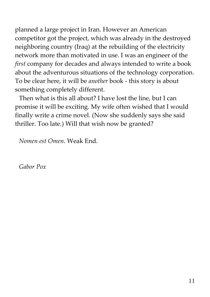planned a large project in Iran. However an American competitor got the project, which was already in the destroyed neighboring country (Iraq) at the rebuilding of the electricity network more than motivated in use. I was an engineer of the first company for decades and always intended to write a book about the adventurous situations of the technology corporation. To be clear here, it will be another book - this story is about something completely different.

Then what is this all about? I have lost the line, but I can promise it will be exciting. My wife often wished that I would finally write a crime novel. (Now she suddenly says she said thriller. Too late.) Will that wish now be granted?

Nomen est Omen. Weak End.

Gabor Pox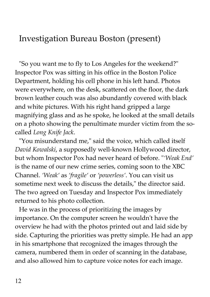## Investigation Bureau Boston (present)

"So you want me to fly to Los Angeles for the weekend?" Inspector Pox was sitting in his office in the Boston Police Department, holding his cell phone in his left hand. Photos were everywhere, on the desk, scattered on the floor, the dark brown leather couch was also abundantly covered with black and white pictures. With his right hand gripped a large magnifying glass and as he spoke, he looked at the small details on a photo showing the penultimate murder victim from the socalled Long Knife Jack.

"You misunderstand me," said the voice, which called itself David Kowalski, a supposedly well-known Hollywood director, but whom Inspector Pox had never heard of before. "'Weak End' is the name of our new crime series, coming soon to the XBC Channel. 'Weak' as 'fragile' or 'powerless'. You can visit us sometime next week to discuss the details," the director said. The two agreed on Tuesday and Inspector Pox immediately returned to his photo collection.

He was in the process of prioritizing the images by importance. On the computer screen he wouldn't have the overview he had with the photos printed out and laid side by side. Capturing the priorities was pretty simple. He had an app in his smartphone that recognized the images through the camera, numbered them in order of scanning in the database, and also allowed him to capture voice notes for each image.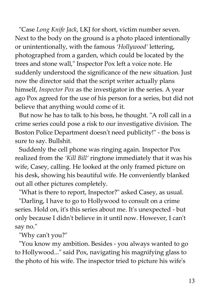"Case Long Knife Jack, LKJ for short, victim number seven. Next to the body on the ground is a photo placed intentionally or unintentionally, with the famous 'Hollywood' lettering, photographed from a garden, which could be located by the trees and stone wall," Inspector Pox left a voice note. He suddenly understood the significance of the new situation. Just now the director said that the script writer actually plans himself, Inspector Pox as the investigator in the series. A year ago Pox agreed for the use of his person for a series, but did not believe that anything would come of it.

But now he has to talk to his boss, he thought. "A roll call in a crime series could pose a risk to our investigative division. The Boston Police Department doesn't need publicity!" - the boss is sure to say. Bullshit.

Suddenly the cell phone was ringing again. Inspector Pox realized from the 'Kill Bill' ringtone immediately that it was his wife, Casey, calling. He looked at the only framed picture on his desk, showing his beautiful wife. He conveniently blanked out all other pictures completely.

"What is there to report, Inspector?" asked Casey, as usual.

"Darling, I have to go to Hollywood to consult on a crime series. Hold on, it's this series about me. It's unexpected - but only because I didn't believe in it until now. However, I can't say no."

"Why can't you?"

"You know my ambition. Besides - you always wanted to go to Hollywood..." said Pox, navigating his magnifying glass to the photo of his wife. The inspector tried to picture his wife's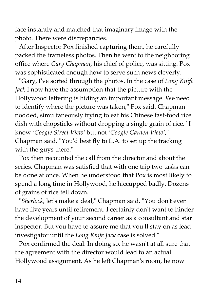face instantly and matched that imaginary image with the photo. There were discrepancies.

After Inspector Pox finished capturing them, he carefully packed the frameless photos. Then he went to the neighboring office where Gary Chapman, his chief of police, was sitting. Pox was sophisticated enough how to serve such news cleverly.

"Gary, I've sorted through the photos. In the case of Long Knife Jack I now have the assumption that the picture with the Hollywood lettering is hiding an important message. We need to identify where the picture was taken," Pox said. Chapman nodded, simultaneously trying to eat his Chinese fast-food rice dish with chopsticks without dropping a single grain of rice. "I know 'Google Street View' but not 'Google Garden View'," Chapman said. "You'd best fly to L.A. to set up the tracking with the guys there."

Pox then recounted the call from the director and about the series. Chapman was satisfied that with one trip two tasks can be done at once. When he understood that Pox is most likely to spend a long time in Hollywood, he hiccupped badly. Dozens of grains of rice fell down.

"Sherlock, let's make a deal," Chapman said. "You don't even have five years until retirement. I certainly don't want to hinder the development of your second career as a consultant and star inspector. But you have to assure me that you'll stay on as lead investigator until the Long Knife Jack case is solved."

Pox confirmed the deal. In doing so, he wasn't at all sure that the agreement with the director would lead to an actual Hollywood assignment. As he left Chapman's room, he now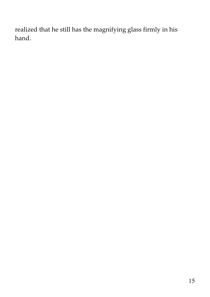realized that he still has the magnifying glass firmly in his hand.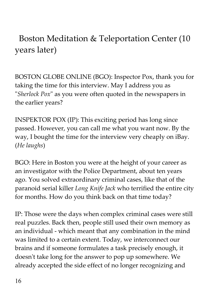Boston Meditation & Teleportation Center (10 years later)

BOSTON GLOBE ONLINE (BGO): Inspector Pox, thank you for taking the time for this interview. May I address you as "Sherlock Pox" as you were often quoted in the newspapers in the earlier years?

INSPEKTOR POX (IP): This exciting period has long since passed. However, you can call me what you want now. By the way, I bought the time for the interview very cheaply on iBay. (He laughs)

BGO: Here in Boston you were at the height of your career as an investigator with the Police Department, about ten years ago. You solved extraordinary criminal cases, like that of the paranoid serial killer Long Knife Jack who terrified the entire city for months. How do you think back on that time today?

IP: Those were the days when complex criminal cases were still real puzzles. Back then, people still used their own memory as an individual - which meant that any combination in the mind was limited to a certain extent. Today, we interconnect our brains and if someone formulates a task precisely enough, it doesn't take long for the answer to pop up somewhere. We already accepted the side effect of no longer recognizing and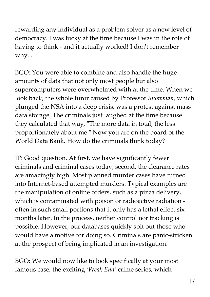rewarding any individual as a problem solver as a new level of democracy. I was lucky at the time because I was in the role of having to think - and it actually worked! I don't remember why...

BGO: You were able to combine and also handle the huge amounts of data that not only most people but also supercomputers were overwhelmed with at the time. When we look back, the whole furor caused by Professor Snowman, which plunged the NSA into a deep crisis, was a protest against mass data storage. The criminals just laughed at the time because they calculated that way, "The more data in total, the less proportionately about me." Now you are on the board of the World Data Bank. How do the criminals think today?

IP: Good question. At first, we have significantly fewer criminals and criminal cases today; second, the clearance rates are amazingly high. Most planned murder cases have turned into Internet-based attempted murders. Typical examples are the manipulation of online orders, such as a pizza delivery, which is contaminated with poison or radioactive radiation often in such small portions that it only has a lethal effect six months later. In the process, neither control nor tracking is possible. However, our databases quickly spit out those who would have a motive for doing so. Criminals are panic-stricken at the prospect of being implicated in an investigation.

BGO: We would now like to look specifically at your most famous case, the exciting 'Weak End' crime series, which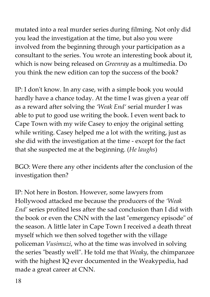mutated into a real murder series during filming. Not only did you lead the investigation at the time, but also you were involved from the beginning through your participation as a consultant to the series. You wrote an interesting book about it, which is now being released on Greenray as a multimedia. Do you think the new edition can top the success of the book?

IP: I don't know. In any case, with a simple book you would hardly have a chance today. At the time I was given a year off as a reward after solving the 'Weak End' serial murder I was able to put to good use writing the book. I even went back to Cape Town with my wife Casey to enjoy the original setting while writing. Casey helped me a lot with the writing, just as she did with the investigation at the time - except for the fact that she suspected me at the beginning. (He laughs)

BGO: Were there any other incidents after the conclusion of the investigation then?

IP: Not here in Boston. However, some lawyers from Hollywood attacked me because the producers of the 'Weak End' series profited less after the sad conclusion than I did with the book or even the CNN with the last "emergency episode" of the season. A little later in Cape Town I received a death threat myself which we then solved together with the village policeman Vusimuzi, who at the time was involved in solving the series "beastly well". He told me that Weaky, the chimpanzee with the highest IQ ever documented in the Weakypedia, had made a great career at CNN.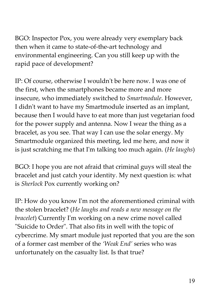BGO: Inspector Pox, you were already very exemplary back then when it came to state-of-the-art technology and environmental engineering. Can you still keep up with the rapid pace of development?

IP: Of course, otherwise I wouldn't be here now. I was one of the first, when the smartphones became more and more insecure, who immediately switched to Smartmodule. However, I didn't want to have my Smartmodule inserted as an implant, because then I would have to eat more than just vegetarian food for the power supply and antenna. Now I wear the thing as a bracelet, as you see. That way I can use the solar energy. My Smartmodule organized this meeting, led me here, and now it is just scratching me that I'm talking too much again. (He laughs)

BGO: I hope you are not afraid that criminal guys will steal the bracelet and just catch your identity. My next question is: what is Sherlock Pox currently working on?

IP: How do you know I'm not the aforementioned criminal with the stolen bracelet? (He laughs and reads a new message on the bracelet) Currently I'm working on a new crime novel called "Suicide to Order". That also fits in well with the topic of cybercrime. My smart module just reported that you are the son of a former cast member of the 'Weak End' series who was unfortunately on the casualty list. Is that true?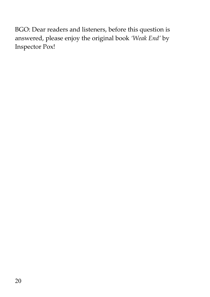BGO: Dear readers and listeners, before this question is answered, please enjoy the original book 'Weak End' by Inspector Pox!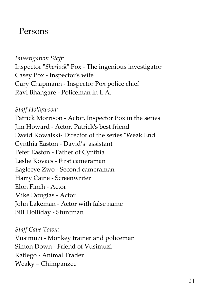### Persons

Investigation Staff: Inspector "Sherlock" Pox - The ingenious investigator Casey Pox - Inspector's wife Gary Chapmann - Inspector Pox police chief Ravi Bhangare - Policeman in L.A.

Staff Hollywood: Patrick Morrison - Actor, Inspector Pox in the series Jim Howard - Actor, Patrick's best friend David Kowalski- Director of the series "Weak End Cynthia Easton - David's assistant Peter Easton - Father of Cynthia Leslie Kovacs - First cameraman Eagleeye Zwo - Second cameraman Harry Caine - Screenwriter Elon Finch - Actor Mike Douglas - Actor John Lakeman - Actor with false name Bill Holliday - Stuntman

Staff Cape Town: Vusimuzi - Monkey trainer and policeman Simon Down - Friend of Vusimuzi Katlego - Animal Trader Weaky – Chimpanzee